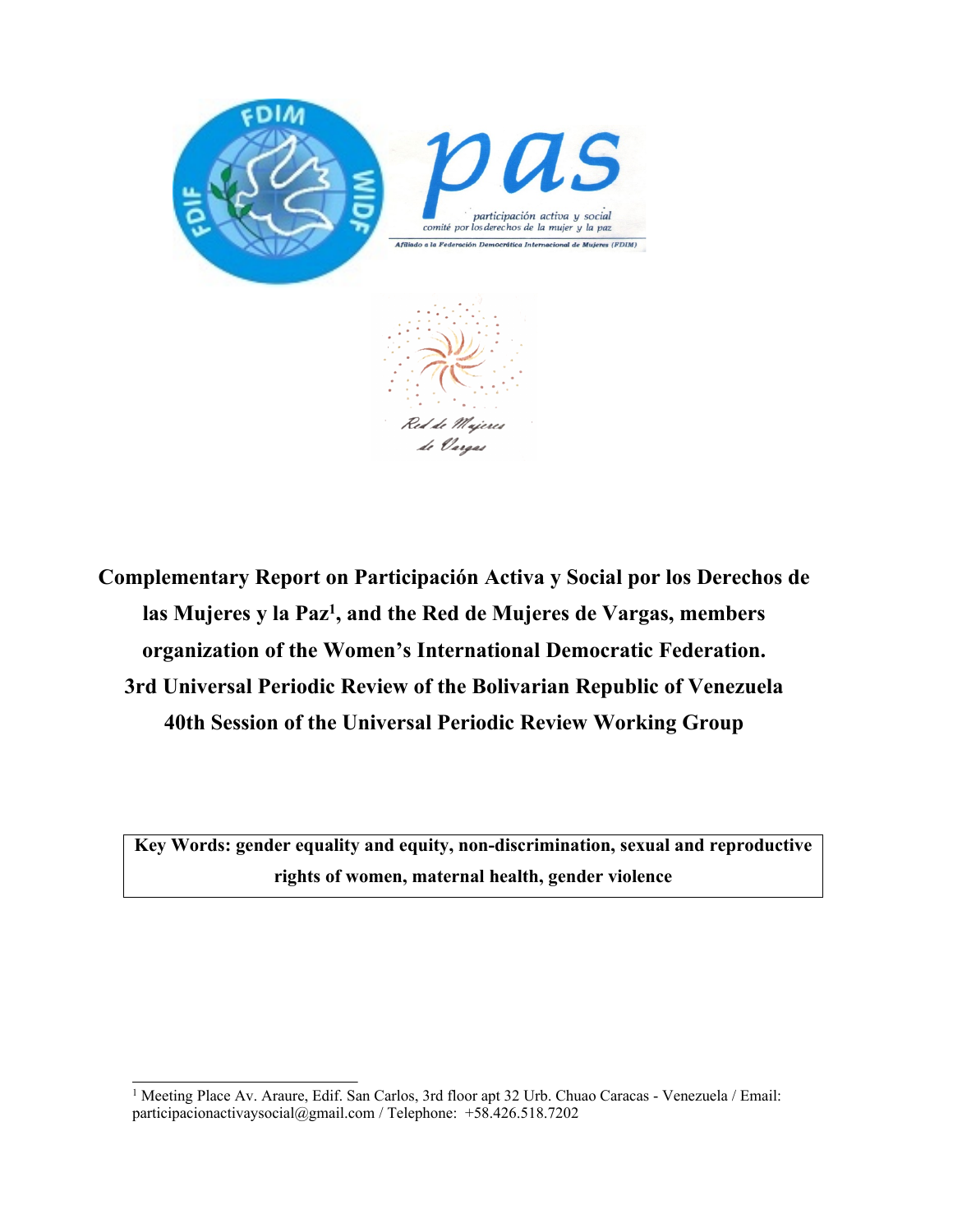

**Complementary Report on Participación Activa y Social por los Derechos de las Mujeres <sup>y</sup> la Paz<sup>1</sup> , and the Red de Mujeres de Vargas, members organization of the Women'<sup>s</sup> International Democratic Federation. 3rd Universal Periodic Review of the Bolivarian Republic of Venezuela 40th Session of the Universal Periodic Review Working Group**

**Key Words: gender equality and equity, non-discrimination, sexual and reproductive rights of women, maternal health, gender violence**

<sup>&</sup>lt;sup>1</sup> Meeting Place Av. Araure, Edif. San Carlos, 3rd floor apt 32 Urb. Chuao Caracas - Venezuela / Email: participacionactivaysocial@gmail.com / Telephone: +58.426.518.7202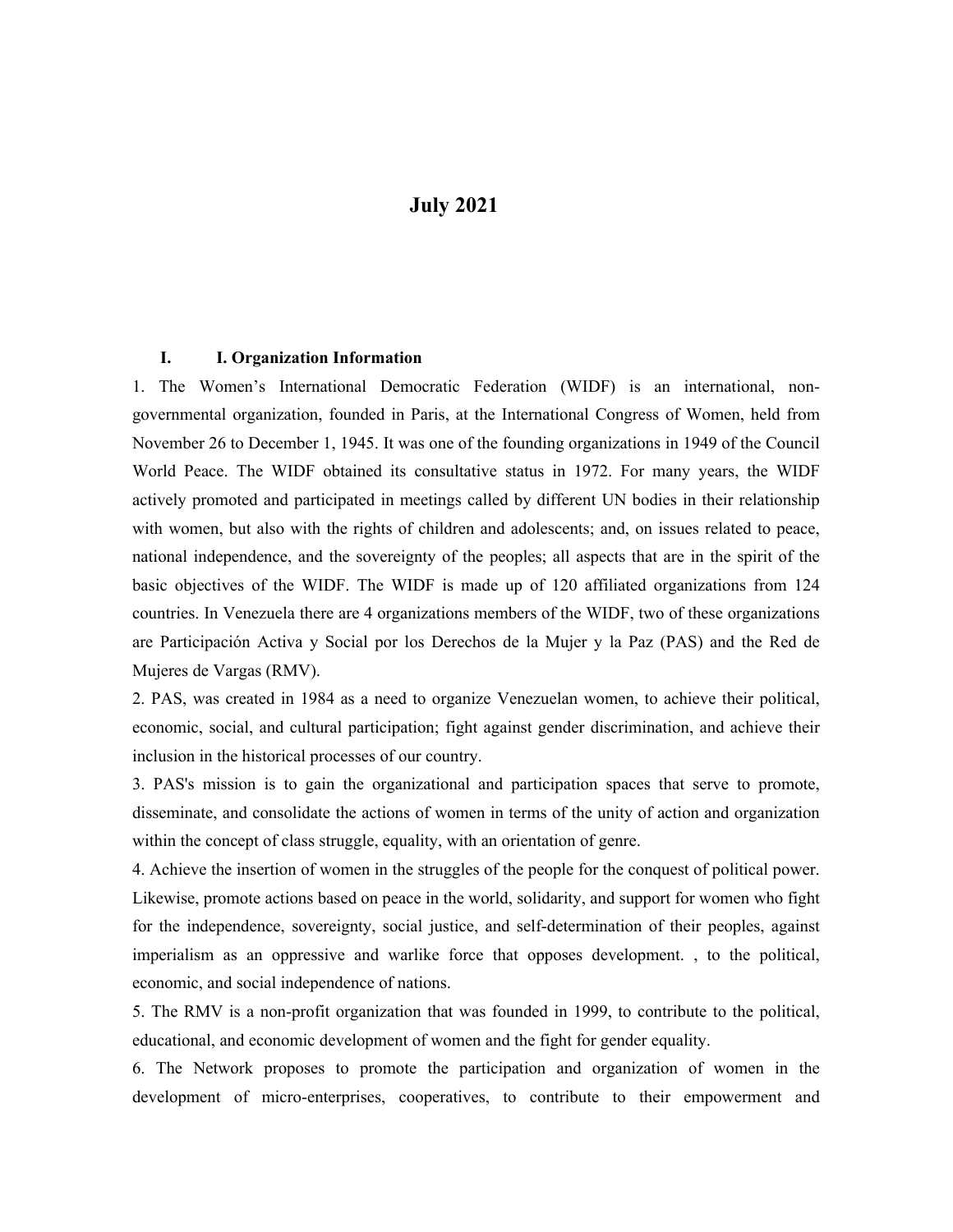## **July 2021**

## **I. I. Organization Information**

1. The Women'<sup>s</sup> International Democratic Federation (WIDF) is an international, nongovernmental organization, founded in Paris, at the International Congress of Women, held from November 26 to December 1, 1945. It was one of the founding organizations in 1949 of the Council World Peace. The WIDF obtained its consultative status in 1972. For many years, the WIDF actively promoted and participated in meetings called by different UN bodies in their relationship with women, but also with the rights of children and adolescents; and, on issues related to peace, national independence, and the sovereignty of the peoples; all aspects that are in the spirit of the basic objectives of the WIDF. The WIDF is made up of 120 affiliated organizations from 124 countries. In Venezuela there are 4 organizations members of the WIDF, two of these organizations are Participación Activa y Social por los Derechos de la Mujer y la Paz (PAS) and the Red de Mujeres de Vargas (RMV).

2. PAS, was created in 1984 as <sup>a</sup> need to organize Venezuelan women, to achieve their political, economic, social, and cultural participation; fight against gender discrimination, and achieve their inclusion in the historical processes of our country.

3. PAS's mission is to gain the organizational and participation spaces that serve to promote, disseminate, and consolidate the actions of women in terms of the unity of action and organization within the concep<sup>t</sup> of class struggle, equality, with an orientation of genre.

4. Achieve the insertion of women in the struggles of the people for the conques<sup>t</sup> of political power. Likewise, promote actions based on peace in the world, solidarity, and suppor<sup>t</sup> for women who fight for the independence, sovereignty, social justice, and self-determination of their peoples, against imperialism as an oppressive and warlike force that opposes development. , to the political, economic, and social independence of nations.

5. The RMV is <sup>a</sup> non-profit organization that was founded in 1999, to contribute to the political, educational, and economic development of women and the fight for gender equality.

6. The Network proposes to promote the participation and organization of women in the development of micro-enterprises, cooperatives, to contribute to their empowermen<sup>t</sup> and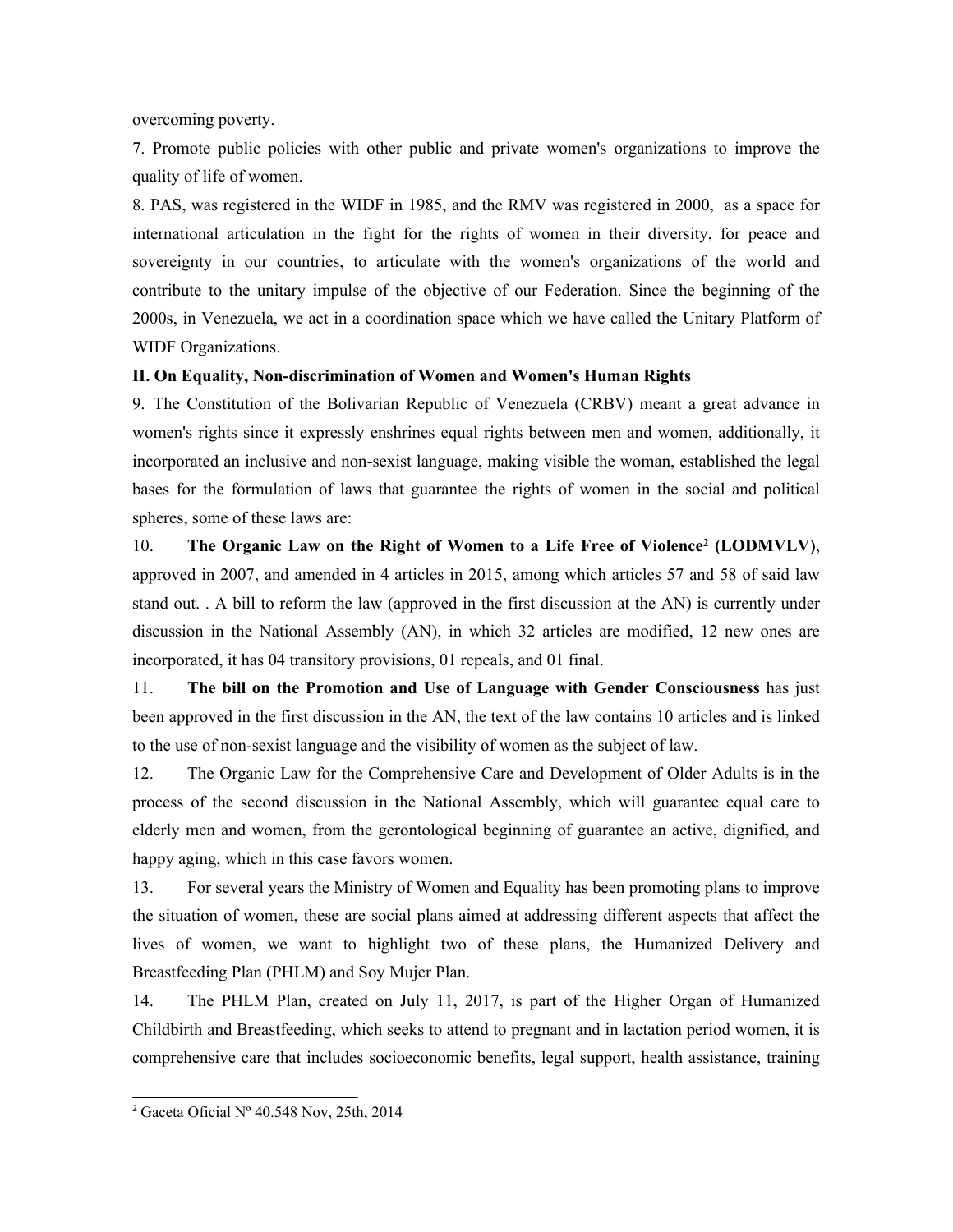overcoming poverty.

7. Promote public policies with other public and private women's organizations to improve the quality of life of women.

8. PAS, was registered in the WIDF in 1985, and the RMV was registered in 2000, as <sup>a</sup> space for international articulation in the fight for the rights of women in their diversity, for peace and sovereignty in our countries, to articulate with the women's organizations of the world and contribute to the unitary impulse of the objective of our Federation. Since the beginning of the 2000s, in Venezuela, we act in <sup>a</sup> coordination space which we have called the Unitary Platform of WIDF Organizations.

## **II. On Equality, Non-discrimination of Women and Women's Human Rights**

9. The Constitution of the Bolivarian Republic of Venezuela (CRBV) meant <sup>a</sup> grea<sup>t</sup> advance in women's rights since it expressly enshrines equal rights between men and women, additionally, it incorporated an inclusive and non-sexist language, making visible the woman, established the legal bases for the formulation of laws that guarantee the rights of women in the social and political spheres, some of these laws are:

10. **The Organic Law on the Right of Women to <sup>a</sup> Life Free of Violence<sup>2</sup> (LODMVLV)**, approved in 2007, and amended in 4 articles in 2015, among which articles 57 and 58 of said law stand out. . A bill to reform the law (approved in the first discussion at the AN) is currently under discussion in the National Assembly (AN), in which 32 articles are modified, 12 new ones are incorporated, it has 04 transitory provisions, 01 repeals, and 01 final.

11. **The bill on the Promotion and Use of Language with Gender Consciousness** has just been approved in the first discussion in the AN, the text of the law contains 10 articles and is linked to the use of non-sexist language and the visibility of women as the subject of law.

12. The Organic Law for the Comprehensive Care and Development of Older Adults is in the process of the second discussion in the National Assembly, which will guarantee equal care to elderly men and women, from the gerontological beginning of guarantee an active, dignified, and happy aging, which in this case favors women.

13. For several years the Ministry of Women and Equality has been promoting plans to improve the situation of women, these are social plans aimed at addressing different aspects that affect the lives of women, we want to highlight two of these plans, the Humanized Delivery and Breastfeeding Plan (PHLM) and Soy Mujer Plan.

14. The PHLM Plan, created on July 11, 2017, is par<sup>t</sup> of the Higher Organ of Humanized Childbirth and Breastfeeding, which seeks to attend to pregnan<sup>t</sup> and in lactation period women, it is comprehensive care that includes socioeconomic benefits, legal support, health assistance, training

<sup>2</sup> Gaceta Oficial Nº 40.548 Nov, 25th, 2014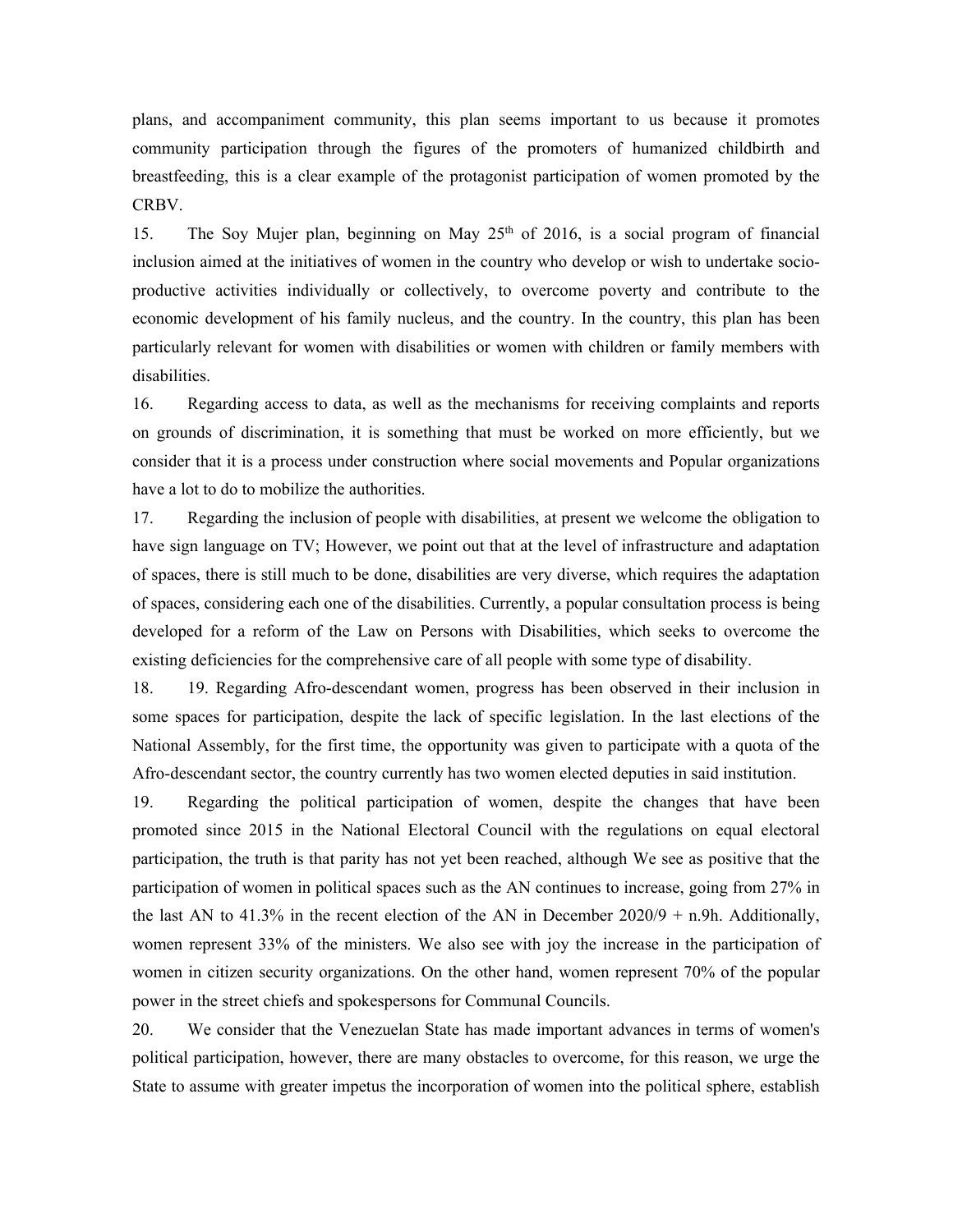plans, and accompaniment community, this plan seems important to us because it promotes community participation through the figures of the promoters of humanized childbirth and breastfeeding, this is <sup>a</sup> clear example of the protagonist participation of women promoted by the CRBV.

15. The Soy Mujer plan, beginning on May  $25<sup>th</sup>$  of 2016, is a social program of financial inclusion aimed at the initiatives of women in the country who develop or wish to undertake socioproductive activities individually or collectively, to overcome poverty and contribute to the economic development of his family nucleus, and the country. In the country, this plan has been particularly relevant for women with disabilities or women with children or family members with disabilities.

16. Regarding access to data, as well as the mechanisms for receiving complaints and reports on grounds of discrimination, it is something that must be worked on more efficiently, but we consider that it is <sup>a</sup> process under construction where social movements and Popular organizations have <sup>a</sup> lot to do to mobilize the authorities.

17. Regarding the inclusion of people with disabilities, at presen<sup>t</sup> we welcome the obligation to have sign language on TV; However, we point out that at the level of infrastructure and adaptation of spaces, there is still much to be done, disabilities are very diverse, which requires the adaptation of spaces, considering each one of the disabilities. Currently, <sup>a</sup> popular consultation process is being developed for <sup>a</sup> reform of the Law on Persons with Disabilities, which seeks to overcome the existing deficiencies for the comprehensive care of all people with some type of disability.

18. 19. Regarding Afro-descendant women, progress has been observed in their inclusion in some spaces for participation, despite the lack of specific legislation. In the last elections of the National Assembly, for the first time, the opportunity was given to participate with <sup>a</sup> quota of the Afro-descendant sector, the country currently has two women elected deputies in said institution.

19. Regarding the political participation of women, despite the changes that have been promoted since 2015 in the National Electoral Council with the regulations on equal electoral participation, the truth is that parity has not ye<sup>t</sup> been reached, although We see as positive that the participation of women in political spaces such as the AN continues to increase, going from 27% in the last AN to 41.3% in the recent election of the AN in December 2020/9 + n.9h. Additionally, women represen<sup>t</sup> 33% of the ministers. We also see with joy the increase in the participation of women in citizen security organizations. On the other hand, women represen<sup>t</sup> 70% of the popular power in the street chiefs and spokespersons for Communal Councils.

20. We consider that the Venezuelan State has made important advances in terms of women's political participation, however, there are many obstacles to overcome, for this reason, we urge the State to assume with greater impetus the incorporation of women into the political sphere, establish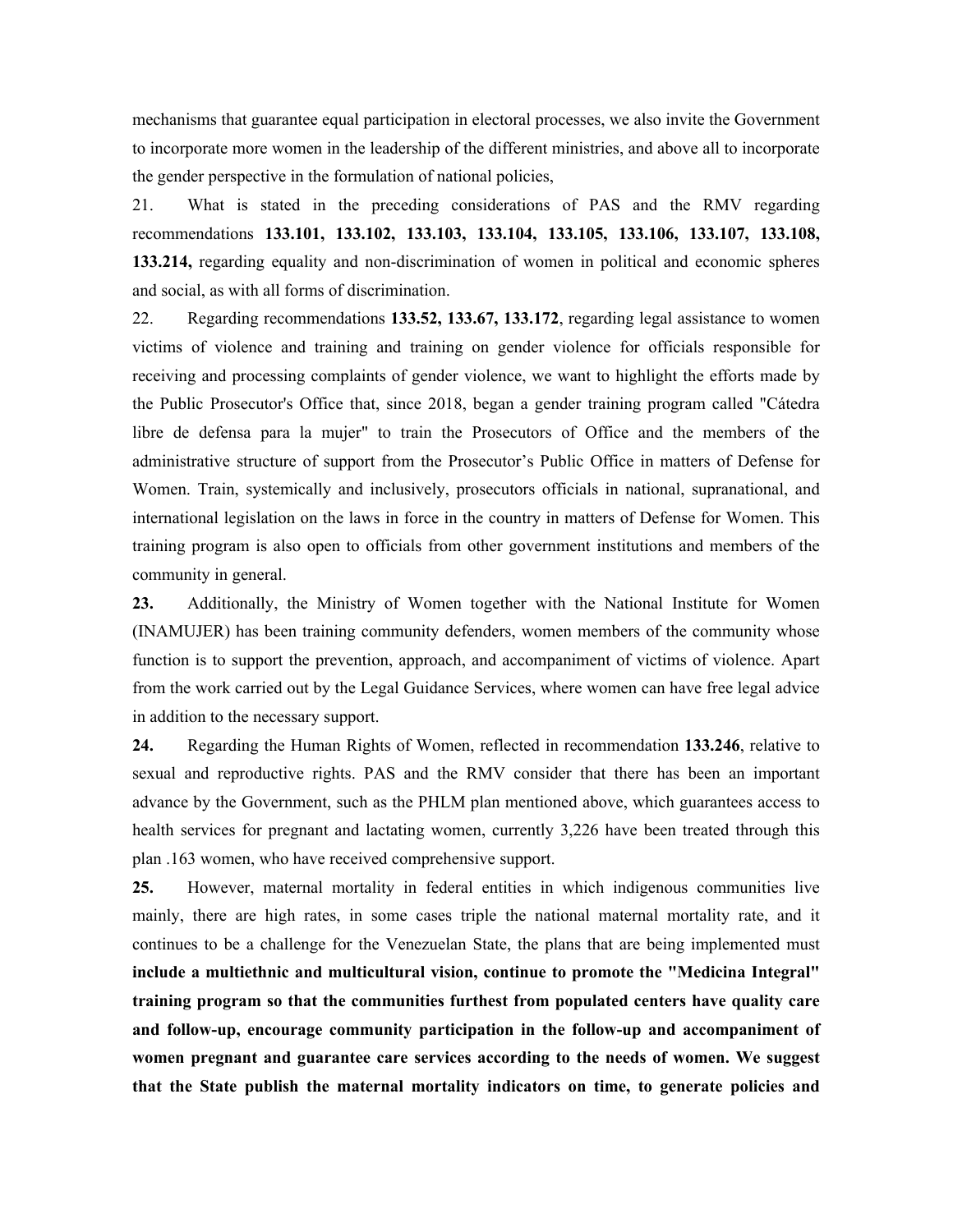mechanisms that guarantee equal participation in electoral processes, we also invite the Government to incorporate more women in the leadership of the different ministries, and above all to incorporate the gender perspective in the formulation of national policies,

21. What is stated in the preceding considerations of PAS and the RMV regarding recommendations **133.101, 133.102, 133.103, 133.104, 133.105, 133.106, 133.107, 133.108, 133.214,** regarding equality and non-discrimination of women in political and economic spheres and social, as with all forms of discrimination.

22. Regarding recommendations **133.52, 133.67, 133.172**, regarding legal assistance to women victims of violence and training and training on gender violence for officials responsible for receiving and processing complaints of gender violence, we want to highlight the efforts made by the Public Prosecutor's Office that, since 2018, began <sup>a</sup> gender training program called "Cátedra libre de defensa para la mujer" to train the Prosecutors of Office and the members of the administrative structure of suppor<sup>t</sup> from the Prosecutor'<sup>s</sup> Public Office in matters of Defense for Women. Train, systemically and inclusively, prosecutors officials in national, supranational, and international legislation on the laws in force in the country in matters of Defense for Women. This training program is also open to officials from other governmen<sup>t</sup> institutions and members of the community in general.

**23.** Additionally, the Ministry of Women together with the National Institute for Women (INAMUJER) has been training community defenders, women members of the community whose function is to suppor<sup>t</sup> the prevention, approach, and accompaniment of victims of violence. Apart from the work carried out by the Legal Guidance Services, where women can have free legal advice in addition to the necessary support.

**24.** Regarding the Human Rights of Women, reflected in recommendation **133.246**, relative to sexual and reproductive rights. PAS and the RMV consider that there has been an important advance by the Government, such as the PHLM plan mentioned above, which guarantees access to health services for pregnan<sup>t</sup> and lactating women, currently 3,226 have been treated through this plan .163 women, who have received comprehensive support.

**25.** However, maternal mortality in federal entities in which indigenous communities live mainly, there are high rates, in some cases triple the national maternal mortality rate, and it continues to be <sup>a</sup> challenge for the Venezuelan State, the plans that are being implemented must **include <sup>a</sup> multiethnic and multicultural vision, continue to promote the "Medicina Integral" training program so that the communities furthest from populated centers have quality care and follow-up, encourage community participation in the follow-up and accompaniment of women pregnant and guarantee care services according to the needs of women. We suggest that the State publish the maternal mortality indicators on time, to generate policies and**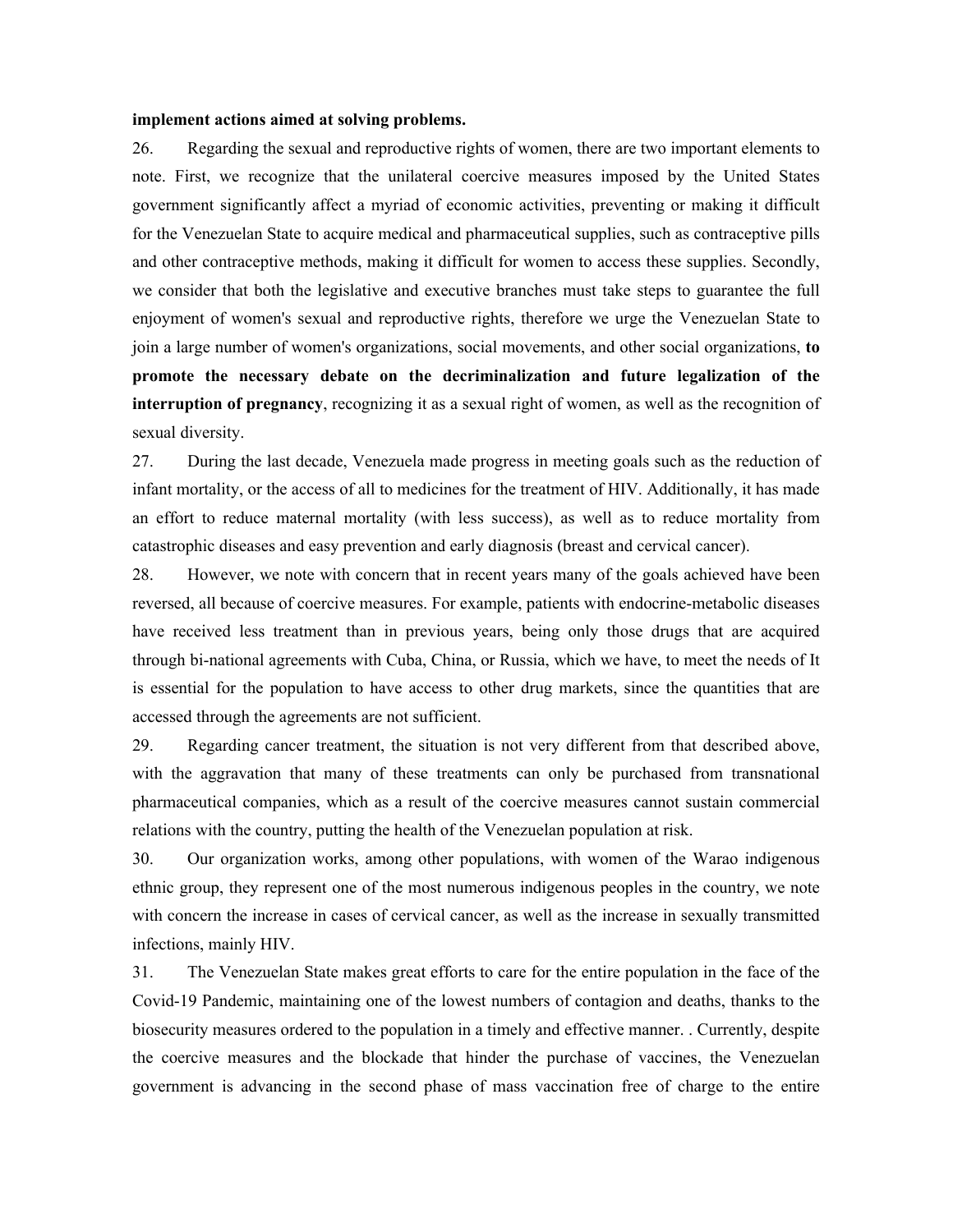## **implement actions aimed at solving problems.**

26. Regarding the sexual and reproductive rights of women, there are two important elements to note. First, we recognize that the unilateral coercive measures imposed by the United States governmen<sup>t</sup> significantly affect <sup>a</sup> myriad of economic activities, preventing or making it difficult for the Venezuelan State to acquire medical and pharmaceutical supplies, such as contraceptive pills and other contraceptive methods, making it difficult for women to access these supplies. Secondly, we consider that both the legislative and executive branches must take steps to guarantee the full enjoyment of women's sexual and reproductive rights, therefore we urge the Venezuelan State to join <sup>a</sup> large number of women's organizations, social movements, and other social organizations, **to promote the necessary debate on the decriminalization and future legalization of the interruption of pregnancy**, recognizing it as <sup>a</sup> sexual right of women, as well as the recognition of sexual diversity.

27. During the last decade, Venezuela made progress in meeting goals such as the reduction of infant mortality, or the access of all to medicines for the treatment of HIV. Additionally, it has made an effort to reduce maternal mortality (with less success), as well as to reduce mortality from catastrophic diseases and easy prevention and early diagnosis (breast and cervical cancer).

28. However, we note with concern that in recent years many of the goals achieved have been reversed, all because of coercive measures. For example, patients with endocrine-metabolic diseases have received less treatment than in previous years, being only those drugs that are acquired through bi-national agreements with Cuba, China, or Russia, which we have, to meet the needs of It is essential for the population to have access to other drug markets, since the quantities that are accessed through the agreements are not sufficient.

29. Regarding cancer treatment, the situation is not very different from that described above, with the aggravation that many of these treatments can only be purchased from transnational pharmaceutical companies, which as <sup>a</sup> result of the coercive measures cannot sustain commercial relations with the country, putting the health of the Venezuelan population at risk.

30. Our organization works, among other populations, with women of the Warao indigenous ethnic group, they represen<sup>t</sup> one of the most numerous indigenous peoples in the country, we note with concern the increase in cases of cervical cancer, as well as the increase in sexually transmitted infections, mainly HIV.

31. The Venezuelan State makes grea<sup>t</sup> efforts to care for the entire population in the face of the Covid-19 Pandemic, maintaining one of the lowest numbers of contagion and deaths, thanks to the biosecurity measures ordered to the population in <sup>a</sup> timely and effective manner. . Currently, despite the coercive measures and the blockade that hinder the purchase of vaccines, the Venezuelan governmen<sup>t</sup> is advancing in the second phase of mass vaccination free of charge to the entire